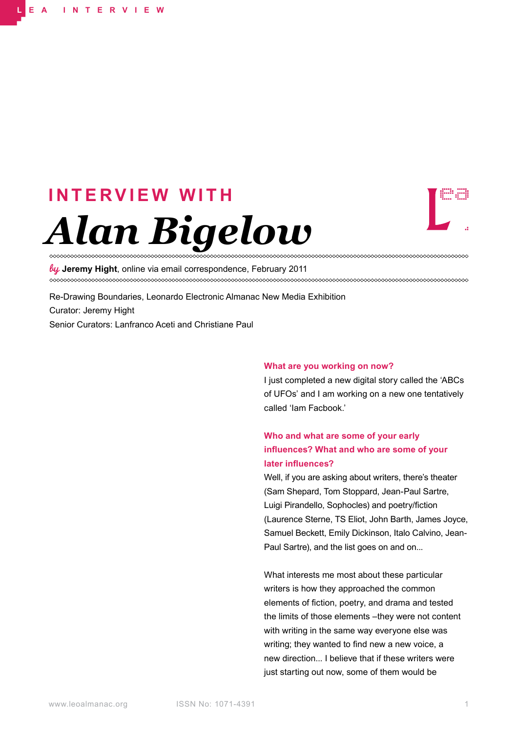# *Alan Bigelow* **I N T E R V I E W W I T H**



**Jeremy Hight**, online via email correspondence, February 2011

Re-Drawing Boundaries, Leonardo Electronic Almanac New Media Exhibition Curator: Jeremy Hight Senior Curators: Lanfranco Aceti and Christiane Paul

#### **What are you working on now?**

I just completed a new digital story called the 'ABCs of UFOs' and I am working on a new one tentatively called 'Iam Facbook.'

# **Who and what are some of your early influences? What and who are some of your later influences?**

Well, if you are asking about writers, there's theater (Sam Shepard, Tom Stoppard, Jean-Paul Sartre, Luigi Pirandello, Sophocles) and poetry/fiction (Laurence Sterne, TS Eliot, John Barth, James Joyce, Samuel Beckett, Emily Dickinson, Italo Calvino, Jean-Paul Sartre), and the list goes on and on...

What interests me most about these particular writers is how they approached the common elements of fiction, poetry, and drama and tested the limits of those elements –they were not content with writing in the same way everyone else was writing; they wanted to find new a new voice, a new direction... I believe that if these writers were just starting out now, some of them would be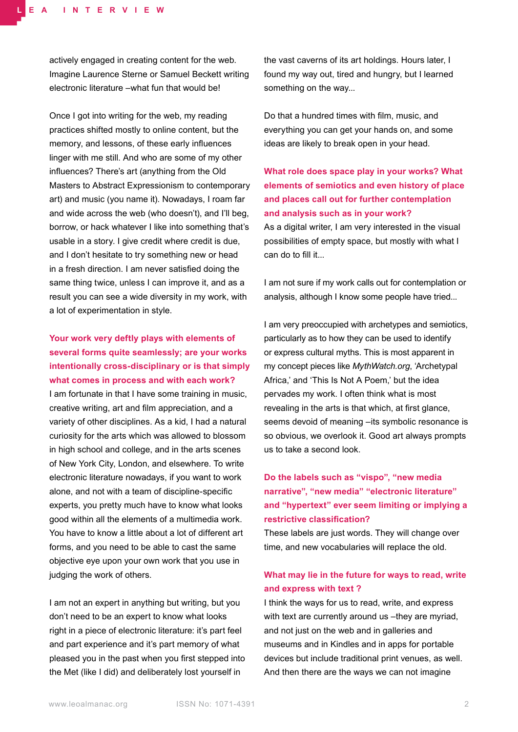actively engaged in creating content for the web. Imagine Laurence Sterne or Samuel Beckett writing electronic literature –what fun that would be!

Once I got into writing for the web, my reading practices shifted mostly to online content, but the memory, and lessons, of these early influences linger with me still. And who are some of my other influences? There's art (anything from the Old Masters to Abstract Expressionism to contemporary art) and music (you name it). Nowadays, I roam far and wide across the web (who doesn't), and I'll beg, borrow, or hack whatever I like into something that's usable in a story. I give credit where credit is due, and I don't hesitate to try something new or head in a fresh direction. I am never satisfied doing the same thing twice, unless I can improve it, and as a result you can see a wide diversity in my work, with a lot of experimentation in style.

# **Your work very deftly plays with elements of several forms quite seamlessly; are your works intentionally cross-disciplinary or is that simply what comes in process and with each work?**

I am fortunate in that I have some training in music, creative writing, art and film appreciation, and a variety of other disciplines. As a kid, I had a natural curiosity for the arts which was allowed to blossom in high school and college, and in the arts scenes of New York City, London, and elsewhere. To write electronic literature nowadays, if you want to work alone, and not with a team of discipline-specific experts, you pretty much have to know what looks good within all the elements of a multimedia work. You have to know a little about a lot of different art forms, and you need to be able to cast the same objective eye upon your own work that you use in judging the work of others.

I am not an expert in anything but writing, but you don't need to be an expert to know what looks right in a piece of electronic literature: it's part feel and part experience and it's part memory of what pleased you in the past when you first stepped into the Met (like I did) and deliberately lost yourself in

the vast caverns of its art holdings. Hours later, I found my way out, tired and hungry, but I learned something on the way...

Do that a hundred times with film, music, and everything you can get your hands on, and some ideas are likely to break open in your head.

# **What role does space play in your works? What elements of semiotics and even history of place and places call out for further contemplation and analysis such as in your work?** As a digital writer, I am very interested in the visual possibilities of empty space, but mostly with what I can do to fill it...

I am not sure if my work calls out for contemplation or analysis, although I know some people have tried...

I am very preoccupied with archetypes and semiotics, particularly as to how they can be used to identify or express cultural myths. This is most apparent in my concept pieces like *MythWatch.org*, 'Archetypal Africa,' and 'This Is Not A Poem,' but the idea pervades my work. I often think what is most revealing in the arts is that which, at first glance, seems devoid of meaning – its symbolic resonance is so obvious, we overlook it. Good art always prompts us to take a second look.

# **Do the labels such as "vispo", "new media narrative", "new media" "electronic literature" and "hypertext" ever seem limiting or implying a restrictive classification?**

These labels are just words. They will change over time, and new vocabularies will replace the old.

## **What may lie in the future for ways to read, write and express with text ?**

I think the ways for us to read, write, and express with text are currently around us –they are myriad, and not just on the web and in galleries and museums and in Kindles and in apps for portable devices but include traditional print venues, as well. And then there are the ways we can not imagine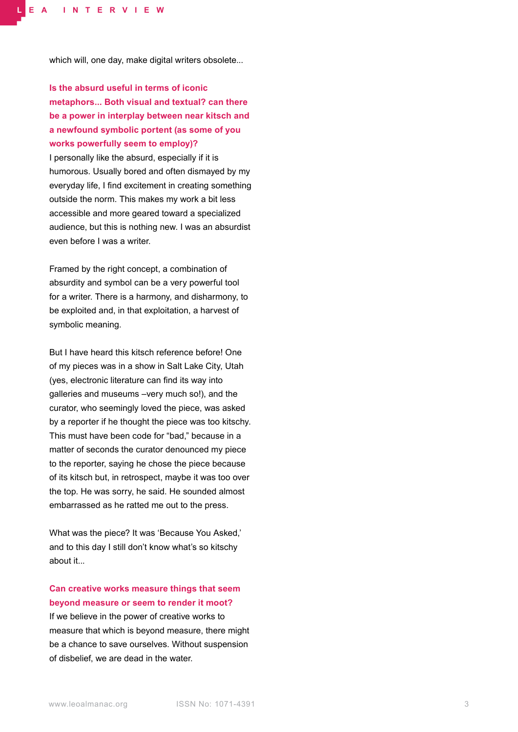which will, one day, make digital writers obsolete...

**Is the absurd useful in terms of iconic metaphors... Both visual and textual? can there be a power in interplay between near kitsch and a newfound symbolic portent (as some of you works powerfully seem to employ)?**

I personally like the absurd, especially if it is humorous. Usually bored and often dismayed by my everyday life, I find excitement in creating something outside the norm. This makes my work a bit less accessible and more geared toward a specialized audience, but this is nothing new. I was an absurdist even before I was a writer.

Framed by the right concept, a combination of absurdity and symbol can be a very powerful tool for a writer. There is a harmony, and disharmony, to be exploited and, in that exploitation, a harvest of symbolic meaning.

But I have heard this kitsch reference before! One of my pieces was in a show in Salt Lake City, Utah (yes, electronic literature can find its way into galleries and museums –very much so!), and the curator, who seemingly loved the piece, was asked by a reporter if he thought the piece was too kitschy. This must have been code for "bad," because in a matter of seconds the curator denounced my piece to the reporter, saying he chose the piece because of its kitsch but, in retrospect, maybe it was too over the top. He was sorry, he said. He sounded almost embarrassed as he ratted me out to the press.

What was the piece? It was 'Because You Asked,' and to this day I still don't know what's so kitschy about it.

## **Can creative works measure things that seem beyond measure or seem to render it moot?**

If we believe in the power of creative works to measure that which is beyond measure, there might be a chance to save ourselves. Without suspension of disbelief, we are dead in the water.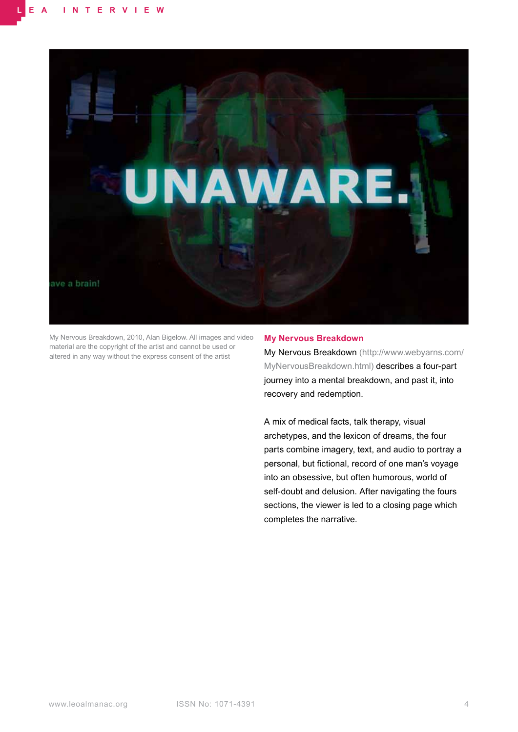

My Nervous Breakdown, 2010, Alan Bigelow. All images and video material are the copyright of the artist and cannot be used or altered in any way without the express consent of the artist

### **My Nervous Breakdown**

My Nervous Breakdown (http://www.webyarns.com/ MyNervousBreakdown.html) describes a four-part journey into a mental breakdown, and past it, into recovery and redemption.

A mix of medical facts, talk therapy, visual archetypes, and the lexicon of dreams, the four parts combine imagery, text, and audio to portray a personal, but fictional, record of one man's voyage into an obsessive, but often humorous, world of self-doubt and delusion. After navigating the fours sections, the viewer is led to a closing page which completes the narrative.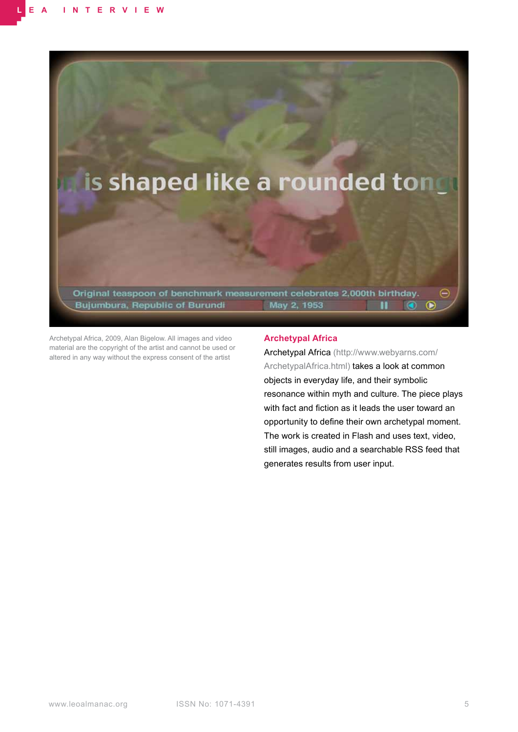

Archetypal Africa, 2009, Alan Bigelow. All images and video material are the copyright of the artist and cannot be used or altered in any way without the express consent of the artist

## **Archetypal Africa**

Archetypal Africa (http://www.webyarns.com/ ArchetypalAfrica.html) takes a look at common objects in everyday life, and their symbolic resonance within myth and culture. The piece plays with fact and fiction as it leads the user toward an opportunity to define their own archetypal moment. The work is created in Flash and uses text, video, still images, audio and a searchable RSS feed that generates results from user input.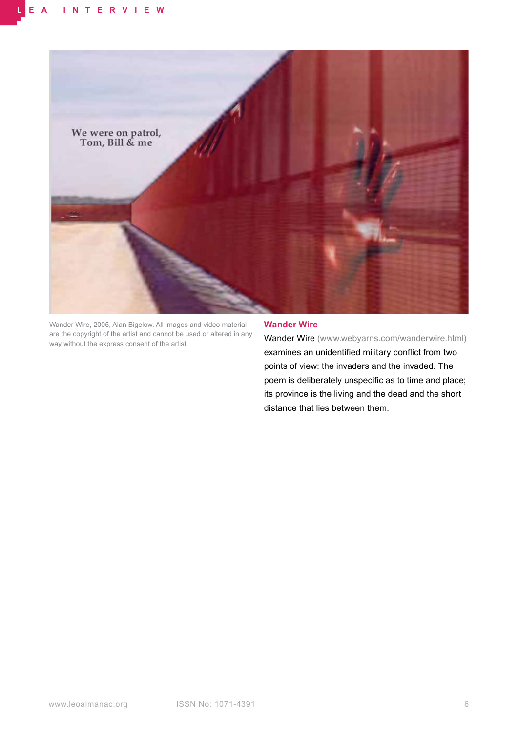

Wander Wire, 2005, Alan Bigelow. All images and video material are the copyright of the artist and cannot be used or altered in any way without the express consent of the artist

## **Wander Wire**

Wander Wire (www.webyarns.com/wanderwire.html) examines an unidentified military conflict from two points of view: the invaders and the invaded. The poem is deliberately unspecific as to time and place; its province is the living and the dead and the short distance that lies between them.